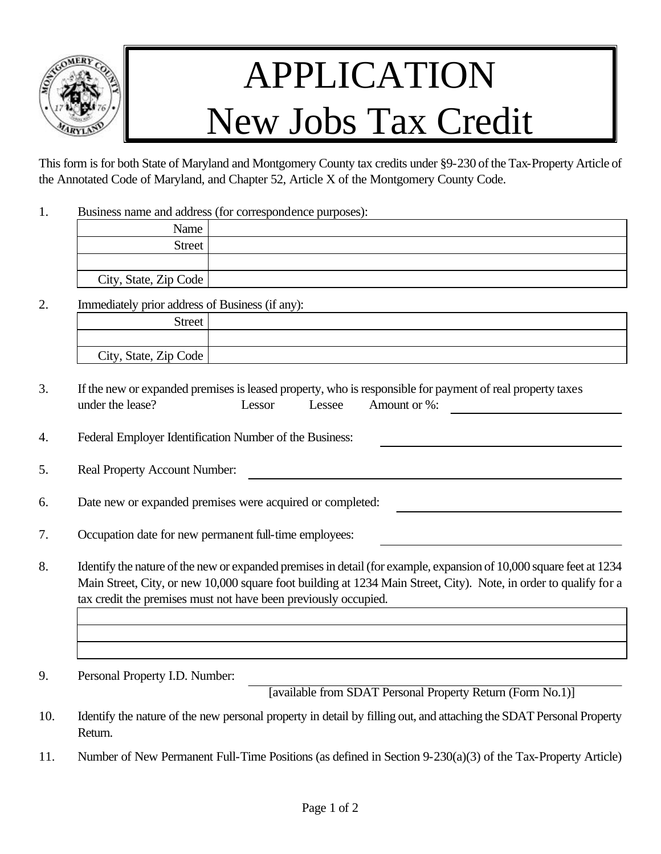

## APPLICATION New Jobs Tax Credit

This form is for both State of Maryland and Montgomery County tax credits under §9-230 of the Tax-Property Article of the Annotated Code of Maryland, and Chapter 52, Article X of the Montgomery County Code.

1. Business name and address (for correspondence purposes):

| Name                  |  |
|-----------------------|--|
| Street <sup>1</sup>   |  |
|                       |  |
| City, State, Zip Code |  |

2. Immediately prior address of Business (if any):

| <b>Street</b>         |  |
|-----------------------|--|
|                       |  |
| City, State, Zip Code |  |

- 3. If the new or expanded premises is leased property, who is responsible for payment of real property taxes under the lease? Lessor Lessee Amount or %:
- 4. Federal Employer Identification Number of the Business:
- 5. Real Property Account Number:
- 6. Date new or expanded premises were acquired or completed:
- 7. Occupation date for new permanent full-time employees:
- 8. Identify the nature of the new or expanded premises in detail (for example, expansion of 10,000 square feet at 1234 Main Street, City, or new 10,000 square foot building at 1234 Main Street, City). Note, in order to qualify for a tax credit the premises must not have been previously occupied.
- 9. Personal Property I.D. Number:

[available from SDAT Personal Property Return (Form No.1)]

- 10. Identify the nature of the new personal property in detail by filling out, and attaching the SDAT Personal Property Return.
- 11. Number of New Permanent Full-Time Positions (as defined in Section 9-230(a)(3) of the Tax-Property Article)